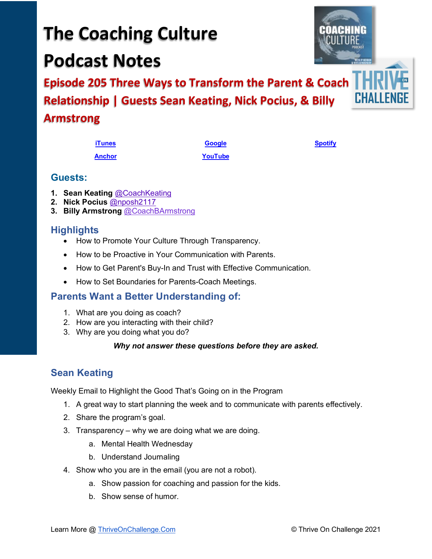# **The Coaching Culture Podcast Notes**

**Episode 205 Three Ways to Transform the Parent & Coach Relationship | Guests Sean Keating, Nick Pocius, & Billy Armstrong**

| <b>Guests:</b> |
|----------------|
|----------------|

- **1. Sean Keating** [@CoachKeating](https://twitter.com/CoachKeating?s=20)
- **2. Nick Pocius** [@nposh2117](https://twitter.com/nposh2117?s=20)
- **3. Billy Armstrong** [@CoachBArmstrong](https://twitter.com/CoachBArmstrong?s=20)

## **Highlights**

• How to Promote Your Culture Through Transparency.

**[Anchor](https://tinyurl.com/4yhexz6d) [YouTube](https://www.youtube.com/channel/UC3vIljCBzwHcPyVIx9kiHvw)**

- How to be Proactive in Your Communication with Parents.
- How to Get Parent's Buy-In and Trust with Effective Communication.
- How to Set Boundaries for Parents-Coach Meetings.

## **Parents Want a Better Understanding of:**

- 1. What are you doing as coach?
- 2. How are you interacting with their child?
- 3. Why are you doing what you do?

## *Why not answer these questions before they are asked.*

## **Sean Keating**

Weekly Email to Highlight the Good That's Going on in the Program

- 1. A great way to start planning the week and to communicate with parents effectively.
- 2. Share the program's goal.
- 3. Transparency why we are doing what we are doing.
	- a. Mental Health Wednesday
	- b. Understand Journaling
- 4. Show who you are in the email (you are not a robot).
	- a. Show passion for coaching and passion for the kids.
	- b. Show sense of humor.





**[iTunes](https://tinyurl.com/y68cvd4x) [Google](https://tinyurl.com/xhduf9bw) [Spotify](https://tinyurl.com/3sf9cp5h)**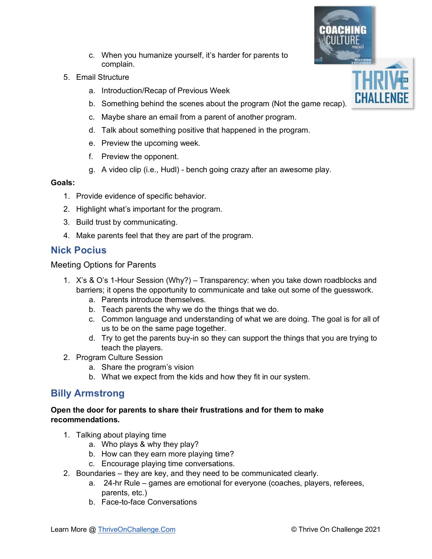- c. When you humanize yourself, it's harder for parents to complain.
- 5. Email Structure
	- a. Introduction/Recap of Previous Week
	- b. Something behind the scenes about the program (Not the game recap).
	- c. Maybe share an email from a parent of another program.
	- d. Talk about something positive that happened in the program.
	- e. Preview the upcoming week.
	- f. Preview the opponent.
	- g. A video clip (i.e., Hudl) bench going crazy after an awesome play.

## **Goals:**

- 1. Provide evidence of specific behavior.
- 2. Highlight what's important for the program.
- 3. Build trust by communicating.
- 4. Make parents feel that they are part of the program.

## **Nick Pocius**

Meeting Options for Parents

- 1. X's & O's 1-Hour Session (Why?) Transparency: when you take down roadblocks and barriers; it opens the opportunity to communicate and take out some of the guesswork.
	- a. Parents introduce themselves.
	- b. Teach parents the why we do the things that we do.
	- c. Common language and understanding of what we are doing. The goal is for all of us to be on the same page together.
	- d. Try to get the parents buy-in so they can support the things that you are trying to teach the players.
- 2. Program Culture Session
	- a. Share the program's vision
	- b. What we expect from the kids and how they fit in our system.

## **Billy Armstrong**

#### **Open the door for parents to share their frustrations and for them to make recommendations.**

- 1. Talking about playing time
	- a. Who plays & why they play?
	- b. How can they earn more playing time?
	- c. Encourage playing time conversations.
- 2. Boundaries they are key, and they need to be communicated clearly.
	- a. 24-hr Rule games are emotional for everyone (coaches, players, referees, parents, etc.)
	- b. Face-to-face Conversations